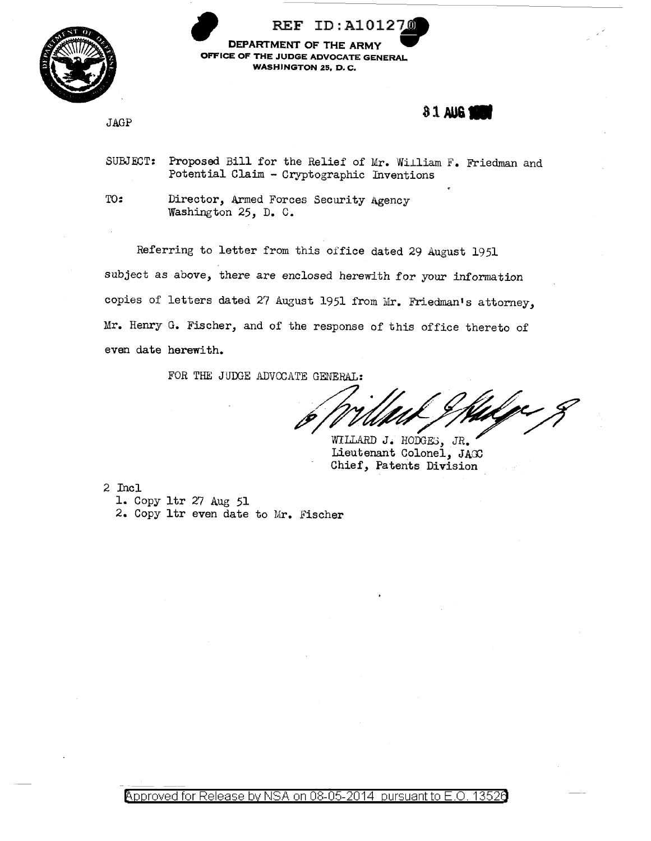

ID:A101270 **DEPARTMENT OF THE ARMY DEPARTMENT OF THE ARMY OFFICE OF THE JUDGE ADVOCATE GENERAL WASHINGTON** 25, **D. C.** 

JAGP

**31AU6.** 

SUBJECT: Proposed Bill for the Relief of Mr. William F. Friedman and Potential Claim - Cryptographic Inventions

TO: Director, Armed Forces Security Agency Washington 25, D. C.

Referring to letter from this office dated 29 august 1951 subject as above, there are enclosed herewith for your information copies of letters dated 27 August 1951 from Mr. Friedman's attorney, Mr. Henry G. Fischer, and of the response of this office thereto of even date herewith.

FOR THE JUDGE ADVOCATE GENERAL:

WILLARD J. HODGES, JR. Lieutenant Colonel, JAGC Chief, Patents Division

2 Incl 1. Copy ltr 27 Aug 51 2. Copy ltr even date to Mr. Fischer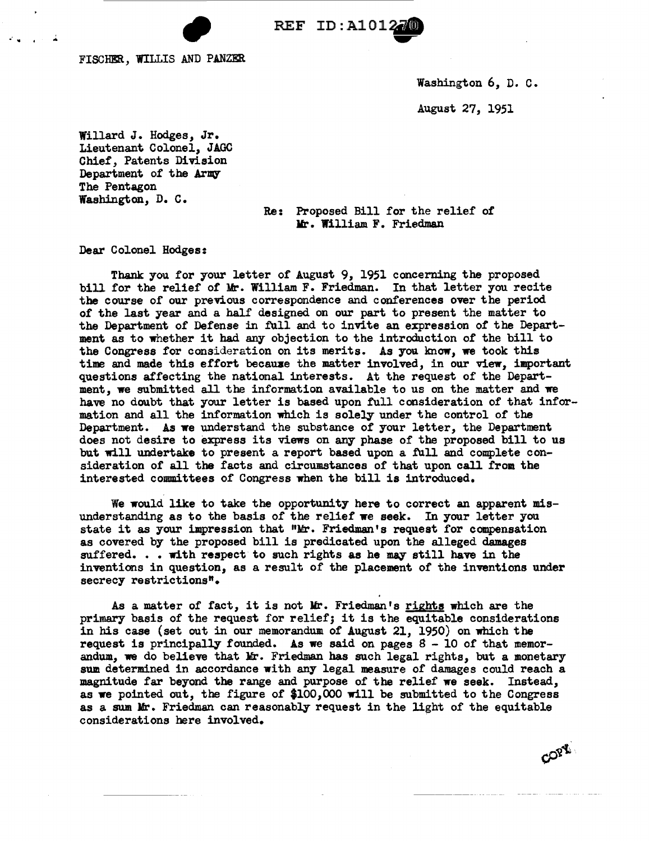REF ID:A101270

FISCHER, WILLIS AND PANZER

•' .. . ..

Washington 6, D. c.

COPY

August 27, 1951

Willard J. Hodges, Jr. Lieutenant Colonel, JAGC Chief, Patents Division Department of the Army The Pentagon Washington, D. c.

Re: Proposed Bill for the relief of Mr. William F. Friedman

Dear Colonel Hodges:

Thank you for your letter of August 9, 1951 concerning the proposed bill for the relief of Mr. William F. Friedman. In that letter you recite the course of our previous correspondence and conferences over the period of the last year and a half designed on our part to present the matter to the Department of Defense in full and to invite an expression of the Department as to whether it had any objection to the introduction of the bill to the Congress for consideration on its merits. As you know, we took this time and made this effort because the matter involved, in our view, important questions affecting the national interests. At the request of the Department, we submitted all the information available to us on the matter and we have no doubt that your letter is based upon full consideration of that information and all the information which is solely under the control of the Department. As we understand the substance of your letter, the Department does not desire to express its views on any phase of the proposed bill to us but will undertake to present a report based upon a full and complete consideration of all the facts and circumstances of that upon call from the interested committees of Congress when the bill is introduced.

We would like to take the opportunity here to correct an apparent misunderstanding as to the basis of the relief we seek. In your letter you state it as your impression that "Mr. Friedman's request for compensation as covered by the proposed bill is predicated upon the alleged damages suffered. . . with respect to such rights as he may still have in the inventions in question, as a result of the placement of the inventions under secrecy restrictions".

As a matter of fact, it is not Mr. Friedman's rights which are the primary basis of the request for relief; it is the equitable considerations in bis case (set out in our memorandum of August 21, 1950) on which the request is principally founded. As we said on pages  $8 - 10$  of that memorandum, we do believe that Mr. Friedman has such legal rights, but a monetary sum determined in accordance with any legal measure of damages could reach a magnitude far beyond the range and purpose of the relief we seek. Instead, as we pointed out, the figure of \$100,000 will be submitted to the Congress as a sum Mr. Friedman can reasonably request in the light of the equitable considerations here involved. ·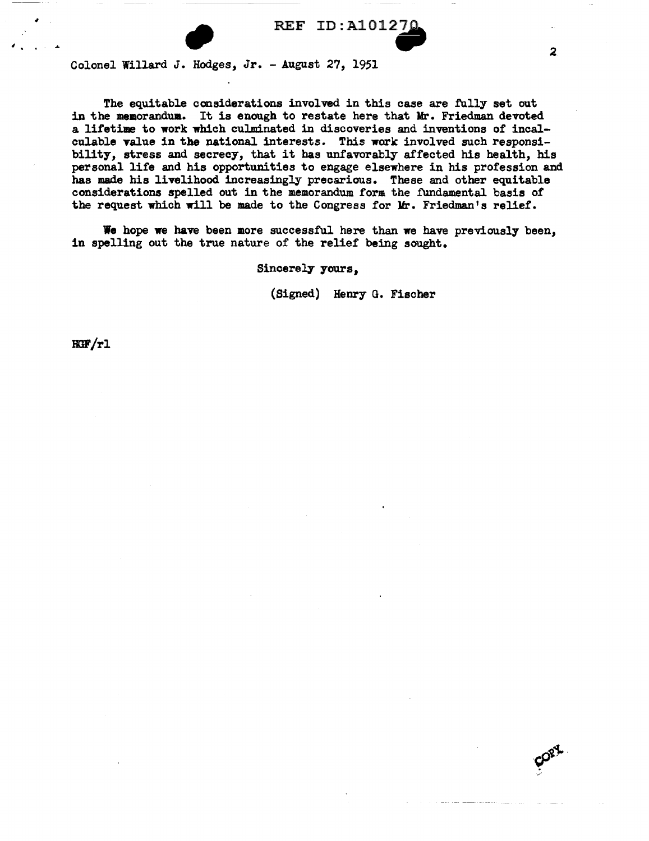

Colonel Willard J. Hodges, Jr. - August 27, 1951

The equitable considerations involved in this case are fully set out in the meaorandua. It is enough to restate here that Mr. Friedman devoted a lifetime to work which culminated in discoveries and inventions of incalculable value in the national interests. This work involved such responsibility, stress and secrecy, that it bas unfavorably affected his health, his personal life and his opportunities to engage elsewhere in his profession and has made his livelihood increasingly precarious. These and other equitable considerations spelled out in the memorandum form the fundamental basis of the request which will be made to the Congress for Mr. Friedman's relief.

We hope we have been more successful here than we have previously been, in spelling out the true nature of the relief being sought.

Sincerely yours,

(Signed) Henry G. Fischer

 $RGF/r1$